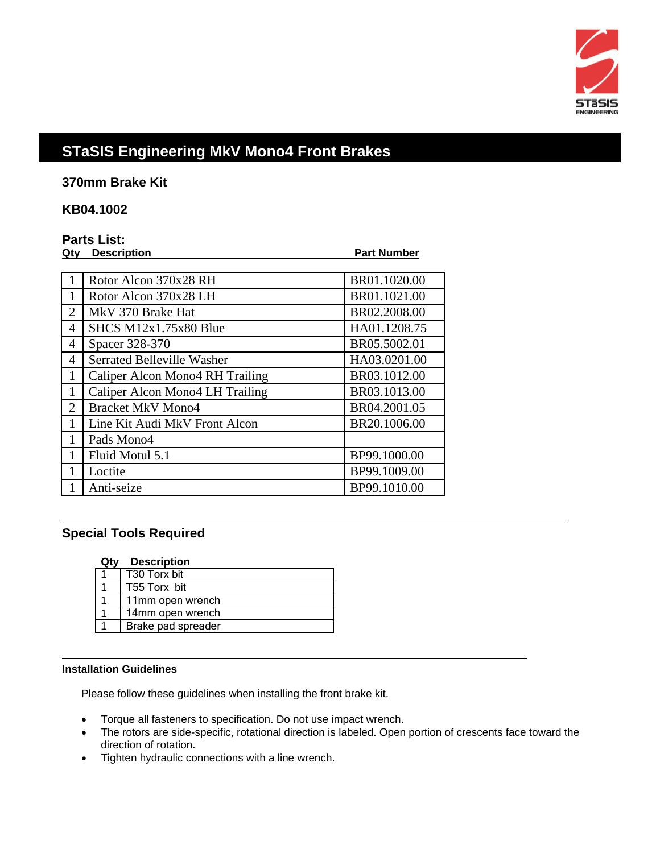

# **STaSIS Engineering MkV Mono4 Front Brakes**

**370mm Brake Kit** 

## **KB04.1002**

## **Parts List:**

| Qtv | <b>Description</b>                | <b>Part Number</b> |
|-----|-----------------------------------|--------------------|
|     |                                   |                    |
|     | Rotor Alcon 370x28 RH             | BR01.1020.00       |
| 1   | Rotor Alcon 370x28 LH             | BR01.1021.00       |
| 2   | MkV 370 Brake Hat                 | BR02.2008.00       |
| 4   | SHCS M12x1.75x80 Blue             | HA01.1208.75       |
| 4   | Spacer 328-370                    | BR05.5002.01       |
| 4   | <b>Serrated Belleville Washer</b> | HA03.0201.00       |
| 1   | Caliper Alcon Mono4 RH Trailing   | BR03.1012.00       |
|     | Caliper Alcon Mono4 LH Trailing   | BR03.1013.00       |
| 2   | <b>Bracket MkV Mono4</b>          | BR04.2001.05       |
|     | Line Kit Audi MkV Front Alcon     | BR20.1006.00       |
| 1   | Pads Mono4                        |                    |
|     | Fluid Motul 5.1                   | BP99.1000.00       |
|     | Loctite                           | BP99.1009.00       |
|     | Anti-seize                        | BP99.1010.00       |

## **Special Tools Required**

 $\overline{a}$ 

#### **Qty Description**

| T30 Torx bit       |
|--------------------|
| T55 Torx bit       |
| 11mm open wrench   |
| 14mm open wrench   |
| Brake pad spreader |

#### **Installation Guidelines**

Please follow these guidelines when installing the front brake kit.

- Torque all fasteners to specification. Do not use impact wrench.
- The rotors are side-specific, rotational direction is labeled. Open portion of crescents face toward the direction of rotation.
- Tighten hydraulic connections with a line wrench.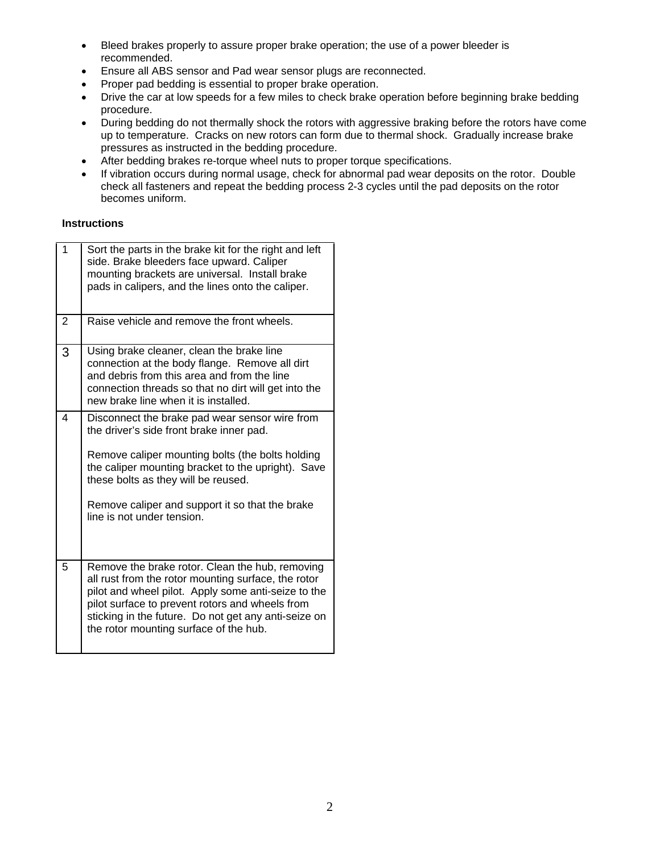- Bleed brakes properly to assure proper brake operation; the use of a power bleeder is recommended.
- Ensure all ABS sensor and Pad wear sensor plugs are reconnected.
- Proper pad bedding is essential to proper brake operation.
- Drive the car at low speeds for a few miles to check brake operation before beginning brake bedding procedure.
- During bedding do not thermally shock the rotors with aggressive braking before the rotors have come up to temperature. Cracks on new rotors can form due to thermal shock. Gradually increase brake pressures as instructed in the bedding procedure.
- After bedding brakes re-torque wheel nuts to proper torque specifications.
- If vibration occurs during normal usage, check for abnormal pad wear deposits on the rotor. Double check all fasteners and repeat the bedding process 2-3 cycles until the pad deposits on the rotor becomes uniform.

#### **Instructions**

| $\overline{1}$ | Sort the parts in the brake kit for the right and left<br>side. Brake bleeders face upward. Caliper<br>mounting brackets are universal. Install brake<br>pads in calipers, and the lines onto the caliper.                                                                                                                   |
|----------------|------------------------------------------------------------------------------------------------------------------------------------------------------------------------------------------------------------------------------------------------------------------------------------------------------------------------------|
| 2              | Raise vehicle and remove the front wheels.                                                                                                                                                                                                                                                                                   |
| 3              | Using brake cleaner, clean the brake line<br>connection at the body flange. Remove all dirt<br>and debris from this area and from the line<br>connection threads so that no dirt will get into the<br>new brake line when it is installed.                                                                                   |
| 4              | Disconnect the brake pad wear sensor wire from<br>the driver's side front brake inner pad.<br>Remove caliper mounting bolts (the bolts holding<br>the caliper mounting bracket to the upright). Save<br>these bolts as they will be reused.<br>Remove caliper and support it so that the brake<br>line is not under tension. |
| 5              | Remove the brake rotor. Clean the hub, removing<br>all rust from the rotor mounting surface, the rotor<br>pilot and wheel pilot. Apply some anti-seize to the<br>pilot surface to prevent rotors and wheels from<br>sticking in the future. Do not get any anti-seize on<br>the rotor mounting surface of the hub.           |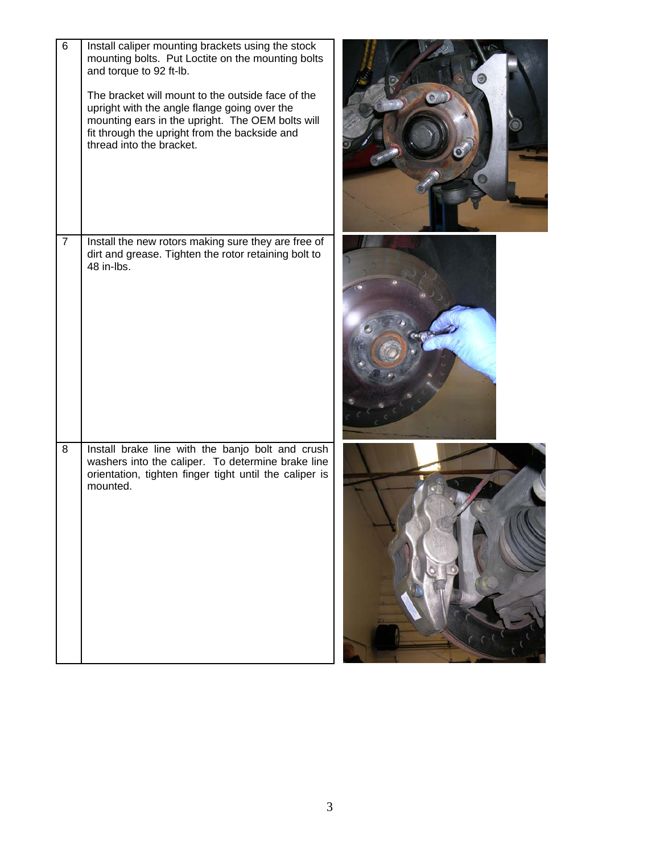| 6              | Install caliper mounting brackets using the stock<br>mounting bolts. Put Loctite on the mounting bolts<br>and torque to 92 ft-lb.<br>The bracket will mount to the outside face of the<br>upright with the angle flange going over the<br>mounting ears in the upright. The OEM bolts will<br>fit through the upright from the backside and<br>thread into the bracket. |  |
|----------------|-------------------------------------------------------------------------------------------------------------------------------------------------------------------------------------------------------------------------------------------------------------------------------------------------------------------------------------------------------------------------|--|
| $\overline{7}$ | Install the new rotors making sure they are free of<br>dirt and grease. Tighten the rotor retaining bolt to<br>48 in-lbs.                                                                                                                                                                                                                                               |  |
| 8              | Install brake line with the banjo bolt and crush<br>washers into the caliper. To determine brake line<br>orientation, tighten finger tight until the caliper is<br>mounted.                                                                                                                                                                                             |  |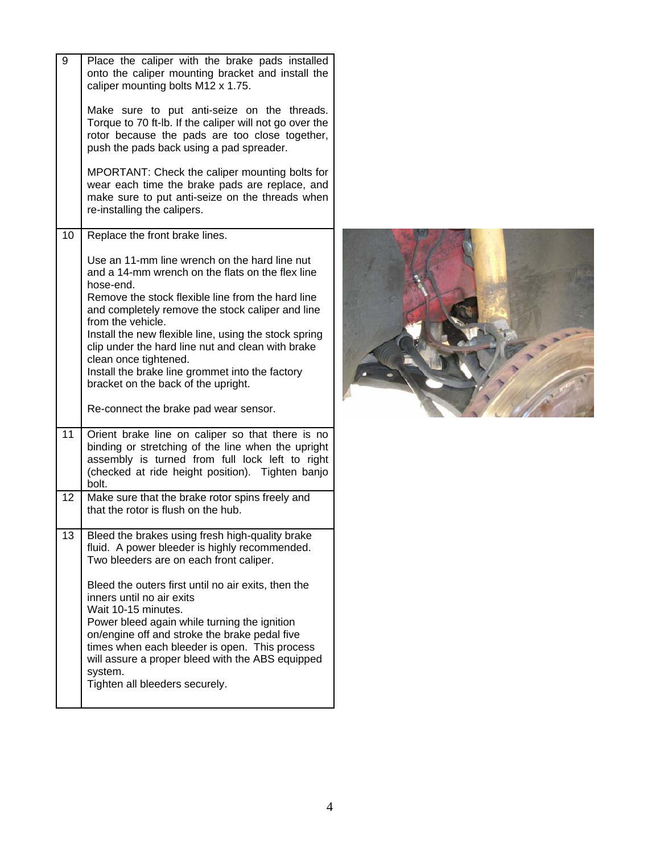| 9  | Place the caliper with the brake pads installed<br>onto the caliper mounting bracket and install the<br>caliper mounting bolts M12 x 1.75.                                                                                                                                                                                                                 |  |
|----|------------------------------------------------------------------------------------------------------------------------------------------------------------------------------------------------------------------------------------------------------------------------------------------------------------------------------------------------------------|--|
|    | Make sure to put anti-seize on the threads.<br>Torque to 70 ft-lb. If the caliper will not go over the<br>rotor because the pads are too close together,<br>push the pads back using a pad spreader.                                                                                                                                                       |  |
|    | MPORTANT: Check the caliper mounting bolts for<br>wear each time the brake pads are replace, and<br>make sure to put anti-seize on the threads when<br>re-installing the calipers.                                                                                                                                                                         |  |
| 10 | Replace the front brake lines.                                                                                                                                                                                                                                                                                                                             |  |
|    | Use an 11-mm line wrench on the hard line nut<br>and a 14-mm wrench on the flats on the flex line<br>hose-end.<br>Remove the stock flexible line from the hard line<br>and completely remove the stock caliper and line<br>from the vehicle.                                                                                                               |  |
|    | Install the new flexible line, using the stock spring<br>clip under the hard line nut and clean with brake<br>clean once tightened.<br>Install the brake line grommet into the factory<br>bracket on the back of the upright.                                                                                                                              |  |
|    | Re-connect the brake pad wear sensor.                                                                                                                                                                                                                                                                                                                      |  |
| 11 | Orient brake line on caliper so that there is no<br>binding or stretching of the line when the upright<br>assembly is turned from full lock left to right<br>(checked at ride height position). Tighten banjo<br>bolt.                                                                                                                                     |  |
| 12 | Make sure that the brake rotor spins freely and<br>that the rotor is flush on the hub.                                                                                                                                                                                                                                                                     |  |
| 13 | Bleed the brakes using fresh high-quality brake<br>fluid. A power bleeder is highly recommended.<br>Two bleeders are on each front caliper.                                                                                                                                                                                                                |  |
|    | Bleed the outers first until no air exits, then the<br>inners until no air exits<br>Wait 10-15 minutes.<br>Power bleed again while turning the ignition<br>on/engine off and stroke the brake pedal five<br>times when each bleeder is open. This process<br>will assure a proper bleed with the ABS equipped<br>system.<br>Tighten all bleeders securely. |  |
|    |                                                                                                                                                                                                                                                                                                                                                            |  |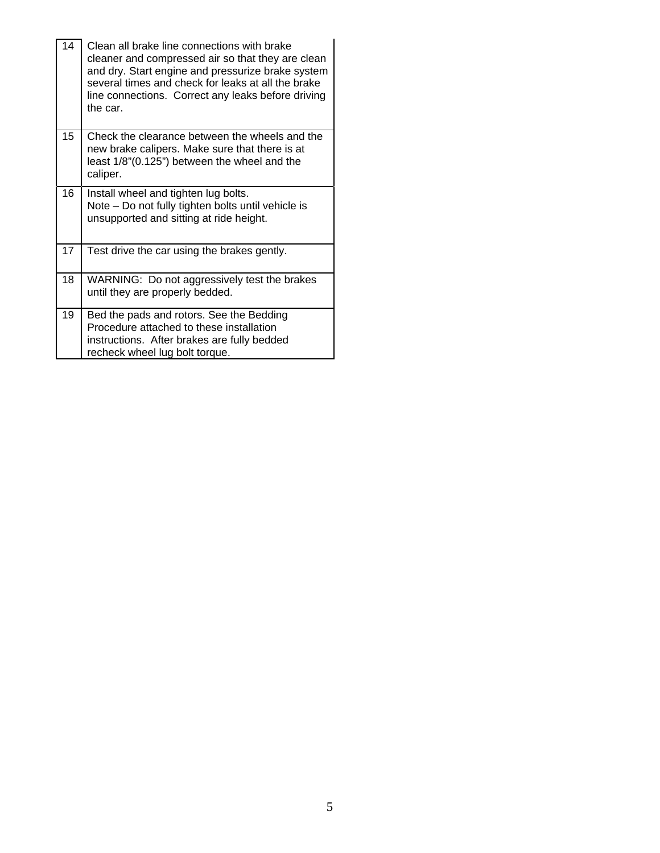| 14 | Clean all brake line connections with brake<br>cleaner and compressed air so that they are clean<br>and dry. Start engine and pressurize brake system<br>several times and check for leaks at all the brake<br>line connections. Correct any leaks before driving<br>the car. |
|----|-------------------------------------------------------------------------------------------------------------------------------------------------------------------------------------------------------------------------------------------------------------------------------|
| 15 | Check the clearance between the wheels and the<br>new brake calipers. Make sure that there is at<br>least 1/8"(0.125") between the wheel and the<br>caliper.                                                                                                                  |
| 16 | Install wheel and tighten lug bolts.<br>Note – Do not fully tighten bolts until vehicle is<br>unsupported and sitting at ride height.                                                                                                                                         |
| 17 | Test drive the car using the brakes gently.                                                                                                                                                                                                                                   |
| 18 | WARNING: Do not aggressively test the brakes<br>until they are properly bedded.                                                                                                                                                                                               |
| 19 | Bed the pads and rotors. See the Bedding<br>Procedure attached to these installation<br>instructions. After brakes are fully bedded<br>recheck wheel lug bolt torque.                                                                                                         |